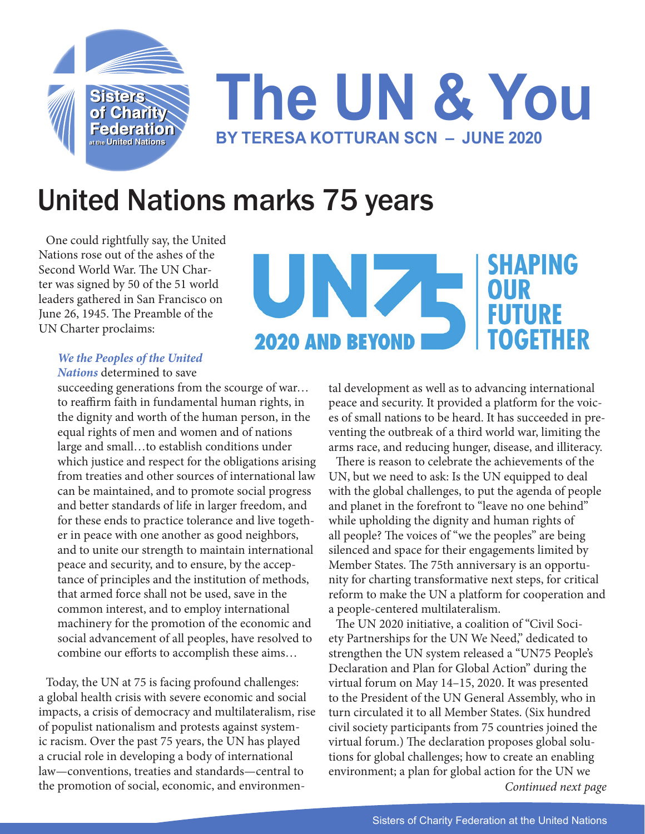

## United Nations marks 75 years

One could rightfully say, the United Nations rose out of the ashes of the Second World War. The UN Charter was signed by 50 of the 51 world leaders gathered in San Francisco on June 26, 1945. The Preamble of the UN Charter proclaims:



## *We the Peoples of the United Nations* determined to save

succeeding generations from the scourge of war... to reaffirm faith in fundamental human rights, in the dignity and worth of the human person, in the equal rights of men and women and of nations large and small…to establish conditions under which justice and respect for the obligations arising from treaties and other sources of international law can be maintained, and to promote social progress and better standards of life in larger freedom, and for these ends to practice tolerance and live together in peace with one another as good neighbors, and to unite our strength to maintain international peace and security, and to ensure, by the acceptance of principles and the institution of methods, that armed force shall not be used, save in the common interest, and to employ international machinery for the promotion of the economic and social advancement of all peoples, have resolved to combine our efforts to accomplish these aims…

Today, the UN at 75 is facing profound challenges: a global health crisis with severe economic and social impacts, a crisis of democracy and multilateralism, rise of populist nationalism and protests against systemic racism. Over the past 75 years, the UN has played a crucial role in developing a body of international law—conventions, treaties and standards—central to the promotion of social, economic, and environmental development as well as to advancing international peace and security. It provided a platform for the voices of small nations to be heard. It has succeeded in preventing the outbreak of a third world war, limiting the arms race, and reducing hunger, disease, and illiteracy.

There is reason to celebrate the achievements of the UN, but we need to ask: Is the UN equipped to deal with the global challenges, to put the agenda of people and planet in the forefront to "leave no one behind" while upholding the dignity and human rights of all people? The voices of "we the peoples" are being silenced and space for their engagements limited by Member States. The 75th anniversary is an opportunity for charting transformative next steps, for critical reform to make the UN a platform for cooperation and a people-centered multilateralism.

*Continued next page* The UN 2020 initiative, a coalition of "Civil Society Partnerships for the UN We Need," dedicated to strengthen the UN system released a "UN75 People's Declaration and Plan for Global Action" during the virtual forum on May 14–15, 2020. It was presented to the President of the UN General Assembly, who in turn circulated it to all Member States. (Six hundred civil society participants from 75 countries joined the virtual forum.) The declaration proposes global solutions for global challenges; how to create an enabling environment; a plan for global action for the UN we